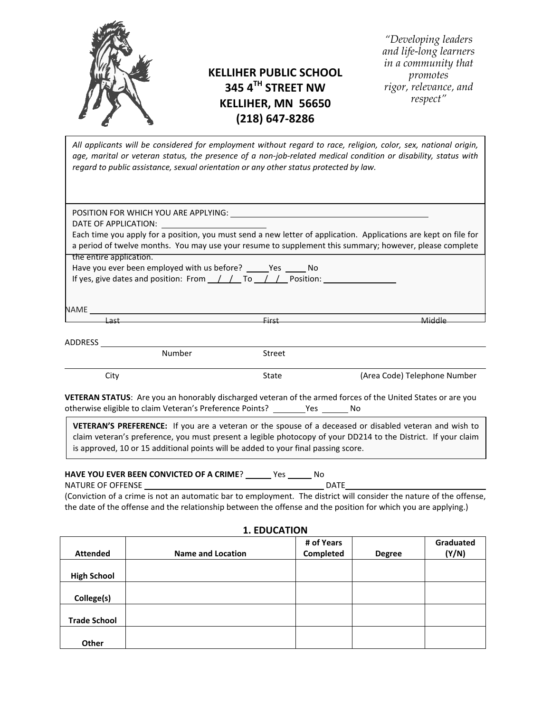

# **KELLIHER PUBLIC SCHOOL 345 4TH STREET NW KELLIHER, MN 56650 (218) 647-8286**

*"Developing leaders and life-long learners in a community that promotes rigor, relevance, and respect"*

All applicants will be considered for employment without regard to race, religion, color, sex, national origin, age, marital or veteran status, the presence of a non-job-related medical condition or disability, status with regard to public assistance, sexual orientation or any other status protected by law.

|                         | Each time you apply for a position, you must send a new letter of application. Applications are kept on file for<br>a period of twelve months. You may use your resume to supplement this summary; however, please complete |  |
|-------------------------|-----------------------------------------------------------------------------------------------------------------------------------------------------------------------------------------------------------------------------|--|
| the entire application. |                                                                                                                                                                                                                             |  |
|                         | Have you ever been employed with us before? ______Yes ______ No                                                                                                                                                             |  |
|                         | If yes, give dates and position: From $\frac{1}{1}$ To $\frac{1}{1}$ Position:                                                                                                                                              |  |
|                         |                                                                                                                                                                                                                             |  |
|                         |                                                                                                                                                                                                                             |  |
|                         |                                                                                                                                                                                                                             |  |
|                         |                                                                                                                                                                                                                             |  |
|                         |                                                                                                                                                                                                                             |  |
|                         |                                                                                                                                                                                                                             |  |
| NAME                    |                                                                                                                                                                                                                             |  |
| ADDRESS<br>Number       | <b>Street</b>                                                                                                                                                                                                               |  |

otherwise eligible to claim Veteran's Preference Points? \_\_\_\_\_\_\_Yes \_\_\_\_\_\_ No

**VETERAN'S PREFERENCE:** If you are a veteran or the spouse of a deceased or disabled veteran and wish to claim veteran's preference, you must present a legible photocopy of your DD214 to the District. If your claim is approved, 10 or 15 additional points will be added to your final passing score.

# **HAVE YOU EVER BEEN CONVICTED OF A CRIME**? \_\_\_\_\_\_ Yes \_\_\_\_\_\_ No

NATURE OF OFFENSE **DATE** 

(Conviction of a crime is not an automatic bar to employment. The district will consider the nature of the offense, the date of the offense and the relationship between the offense and the position for which you are applying.)

|                     |                          | # of Years |               | Graduated |
|---------------------|--------------------------|------------|---------------|-----------|
| <b>Attended</b>     | <b>Name and Location</b> | Completed  | <b>Degree</b> | (Y/N)     |
|                     |                          |            |               |           |
| <b>High School</b>  |                          |            |               |           |
|                     |                          |            |               |           |
| College(s)          |                          |            |               |           |
|                     |                          |            |               |           |
| <b>Trade School</b> |                          |            |               |           |
|                     |                          |            |               |           |
| Other               |                          |            |               |           |

#### **1. EDUCATION**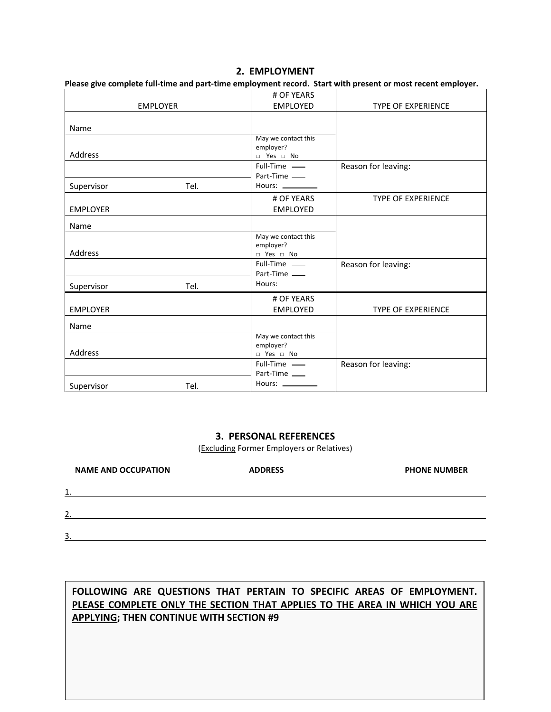#### 2. **EMPLOYMENT**

Please give complete full-time and part-time employment record. Start with present or most recent employer.

|                 |                 | # OF YEARS                                                              |                           |
|-----------------|-----------------|-------------------------------------------------------------------------|---------------------------|
|                 | <b>EMPLOYER</b> | <b>EMPLOYED</b>                                                         | <b>TYPE OF EXPERIENCE</b> |
| Name            |                 |                                                                         |                           |
| Address         |                 | May we contact this<br>employer?<br>$\Box$ Yes $\Box$ No                |                           |
|                 |                 | Full-Time -<br>Part-Time                                                | Reason for leaving:       |
| Supervisor      | Tel.            | Hours: ________                                                         |                           |
| <b>EMPLOYER</b> |                 | # OF YEARS<br><b>EMPLOYED</b>                                           | <b>TYPE OF EXPERIENCE</b> |
| Name            |                 |                                                                         |                           |
| Address         |                 | May we contact this<br>employer?<br>$\neg$ Yes $\Box$ No                |                           |
|                 |                 | Full-Time -<br>Part-Time                                                | Reason for leaving:       |
| Supervisor      | Tel.            | Hours: $\frac{1}{2}$                                                    |                           |
| <b>EMPLOYER</b> |                 | # OF YEARS<br><b>EMPLOYED</b>                                           | <b>TYPE OF EXPERIENCE</b> |
| Name            |                 |                                                                         |                           |
| Address         |                 | May we contact this<br>employer?<br>$\Box$ Yes $\Box$ No<br>Full-Time — |                           |
|                 |                 | Part-Time<br>Hours: __________                                          | Reason for leaving:       |
| Supervisor      | Tel.            |                                                                         |                           |

#### **3. PERSONAL REFERENCES**

(**Excluding Former Employers or Relatives**)

| <b>NAME AND OCCUPATION</b> | <b>ADDRESS</b> | <b>PHONE NUMBER</b> |
|----------------------------|----------------|---------------------|
| 1                          |                |                     |
| $\mathcal{L}$<br>ـ ـ       |                |                     |
| 3                          |                |                     |

## FOLLOWING ARE QUESTIONS THAT PERTAIN TO SPECIFIC AREAS OF EMPLOYMENT. PLEASE COMPLETE ONLY THE SECTION THAT APPLIES TO THE AREA IN WHICH YOU ARE **APPLYING; THEN CONTINUE WITH SECTION #9**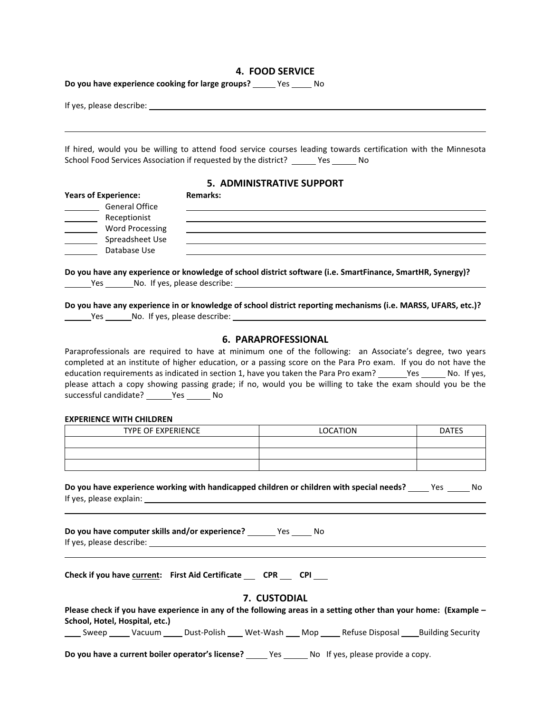# **4. FOOD SERVICE**

**Do you have experience cooking for large groups?** \_\_\_\_\_ Yes \_\_\_\_\_ No

| School Food Services Association if requested by the district? ______ Yes ______ No |                 | If hired, would you be willing to attend food service courses leading towards certification with the Minnesota                                                                                                                        |              |
|-------------------------------------------------------------------------------------|-----------------|---------------------------------------------------------------------------------------------------------------------------------------------------------------------------------------------------------------------------------------|--------------|
|                                                                                     |                 | <b>5. ADMINISTRATIVE SUPPORT</b>                                                                                                                                                                                                      |              |
| <b>Years of Experience:</b>                                                         | <b>Remarks:</b> |                                                                                                                                                                                                                                       |              |
| <b>General Office</b>                                                               |                 |                                                                                                                                                                                                                                       |              |
| Receptionist                                                                        |                 |                                                                                                                                                                                                                                       |              |
| <b>Word Processing</b><br><u> 1990 - Jan Jawa</u>                                   |                 |                                                                                                                                                                                                                                       |              |
| Spreadsheet Use<br>$\overline{\phantom{a}}$                                         |                 |                                                                                                                                                                                                                                       |              |
| Database Use                                                                        |                 |                                                                                                                                                                                                                                       |              |
|                                                                                     |                 | Do you have any experience or knowledge of school district software (i.e. SmartFinance, SmartHR, Synergy)?<br>Do you have any experience in or knowledge of school district reporting mechanisms (i.e. MARSS, UFARS, etc.)?           |              |
|                                                                                     |                 |                                                                                                                                                                                                                                       |              |
|                                                                                     |                 | <b>6. PARAPROFESSIONAL</b>                                                                                                                                                                                                            |              |
|                                                                                     |                 | Paraprofessionals are required to have at minimum one of the following: an Associate's degree, two years                                                                                                                              |              |
|                                                                                     |                 | completed at an institute of higher education, or a passing score on the Para Pro exam. If you do not have the                                                                                                                        |              |
|                                                                                     |                 | please attach a copy showing passing grade; if no, would you be willing to take the exam should you be the                                                                                                                            |              |
| successful candidate? _______ Yes _______ No                                        |                 |                                                                                                                                                                                                                                       |              |
|                                                                                     |                 |                                                                                                                                                                                                                                       |              |
| <b>EXPERIENCE WITH CHILDREN</b>                                                     |                 |                                                                                                                                                                                                                                       |              |
| <b>TYPE OF EXPERIENCE</b>                                                           |                 | <b>LOCATION</b>                                                                                                                                                                                                                       | <b>DATES</b> |
|                                                                                     |                 |                                                                                                                                                                                                                                       |              |
|                                                                                     |                 |                                                                                                                                                                                                                                       |              |
|                                                                                     |                 |                                                                                                                                                                                                                                       |              |
| If yes, please explain:                                                             |                 | Do you have experience working with handicapped children or children with special needs? _____ Yes ______ No                                                                                                                          |              |
| Do you have computer skills and/or experience? ________ Yes ______ No               |                 |                                                                                                                                                                                                                                       |              |
| Check if you have current: First Aid Certificate __ CPR __ CPI __                   |                 |                                                                                                                                                                                                                                       |              |
|                                                                                     |                 | 7. CUSTODIAL                                                                                                                                                                                                                          |              |
| School, Hotel, Hospital, etc.)                                                      |                 | Please check if you have experience in any of the following areas in a setting other than your home: (Example -<br>_____ Sweep ______ Vacuum ______ Dust-Polish _____ Wet-Wash ____ Mop ______ Refuse Disposal _____Building Security |              |
|                                                                                     |                 | Do you have a current boiler operator's license? _____ Yes ______ No If yes, please provide a copy.                                                                                                                                   |              |
|                                                                                     |                 |                                                                                                                                                                                                                                       |              |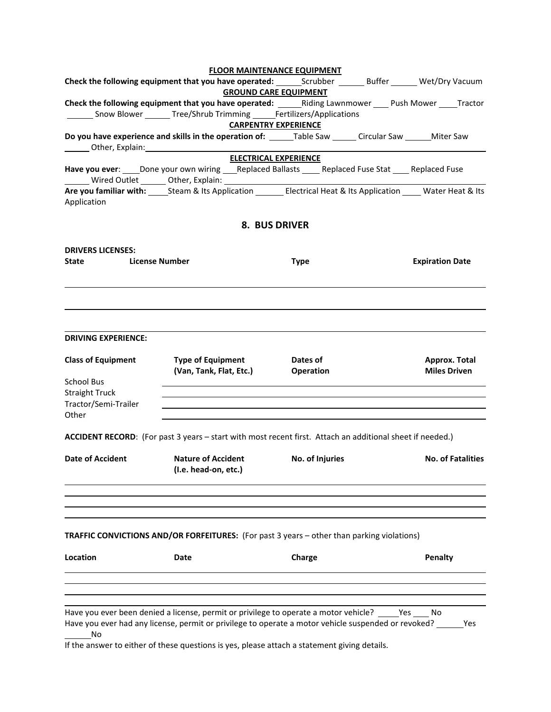|                                                                                                                                                                                                                               |                                                     | <b>FLOOR MAINTENANCE EQUIPMENT</b> |                              |                 |                                      |  |
|-------------------------------------------------------------------------------------------------------------------------------------------------------------------------------------------------------------------------------|-----------------------------------------------------|------------------------------------|------------------------------|-----------------|--------------------------------------|--|
|                                                                                                                                                                                                                               |                                                     |                                    |                              |                 |                                      |  |
|                                                                                                                                                                                                                               |                                                     | <b>GROUND CARE EQUIPMENT</b>       |                              |                 |                                      |  |
| Check the following equipment that you have operated: _______Riding Lawnmower _____ Push Mower _____Tractor                                                                                                                   |                                                     |                                    |                              |                 |                                      |  |
| _________ Snow Blower _________ Tree/Shrub Trimming _______ Fertilizers/Applications                                                                                                                                          |                                                     |                                    |                              |                 |                                      |  |
|                                                                                                                                                                                                                               |                                                     | <b>CARPENTRY EXPERIENCE</b>        |                              |                 |                                      |  |
| Do you have experience and skills in the operation of: ______Table Saw ______ Circular Saw ______ Miter Saw                                                                                                                   |                                                     |                                    |                              |                 |                                      |  |
|                                                                                                                                                                                                                               |                                                     | <b>ELECTRICAL EXPERIENCE</b>       |                              |                 |                                      |  |
| Have you ever: _____Done your own wiring ____Replaced Ballasts ______ Replaced Fuse Stat _____ Replaced Fuse<br>________ Wired Outlet ________ Other, Explain: _________________________________                              |                                                     |                                    |                              |                 |                                      |  |
| Are you familiar with: ______Steam & Its Application __________ Electrical Heat & Its Application ______ Water Heat & Its<br>Application                                                                                      |                                                     |                                    |                              |                 |                                      |  |
|                                                                                                                                                                                                                               |                                                     |                                    | 8. BUS DRIVER                |                 |                                      |  |
| <b>DRIVERS LICENSES:</b>                                                                                                                                                                                                      |                                                     |                                    |                              |                 |                                      |  |
| State                                                                                                                                                                                                                         | <b>License Number</b>                               |                                    | <b>Type</b>                  |                 | <b>Expiration Date</b>               |  |
| <b>DRIVING EXPERIENCE:</b>                                                                                                                                                                                                    |                                                     |                                    |                              |                 |                                      |  |
| <b>Class of Equipment</b>                                                                                                                                                                                                     | <b>Type of Equipment</b><br>(Van, Tank, Flat, Etc.) |                                    | Dates of<br><b>Operation</b> |                 | Approx. Total<br><b>Miles Driven</b> |  |
| <b>School Bus</b>                                                                                                                                                                                                             |                                                     |                                    |                              |                 |                                      |  |
| <b>Straight Truck</b>                                                                                                                                                                                                         |                                                     |                                    |                              |                 |                                      |  |
| Tractor/Semi-Trailer<br>Other                                                                                                                                                                                                 |                                                     |                                    |                              |                 |                                      |  |
| ACCIDENT RECORD: (For past 3 years - start with most recent first. Attach an additional sheet if needed.)                                                                                                                     |                                                     |                                    |                              |                 |                                      |  |
| <b>Date of Accident</b>                                                                                                                                                                                                       | <b>Nature of Accident</b><br>(I.e. head-on, etc.)   |                                    |                              | No. of Injuries | <b>No. of Fatalities</b>             |  |
|                                                                                                                                                                                                                               |                                                     |                                    |                              |                 |                                      |  |
| <b>TRAFFIC CONVICTIONS AND/OR FORFEITURES:</b> (For past 3 years - other than parking violations)                                                                                                                             |                                                     |                                    |                              |                 |                                      |  |
| Location                                                                                                                                                                                                                      | <b>Date</b>                                         |                                    | Charge                       |                 | <b>Penalty</b>                       |  |
|                                                                                                                                                                                                                               |                                                     |                                    |                              |                 |                                      |  |
| Have you ever been denied a license, permit or privilege to operate a motor vehicle? _____Yes ____ No<br>Have you ever had any license, permit or privilege to operate a motor vehicle suspended or revoked? ______ Yes<br>No |                                                     |                                    |                              |                 |                                      |  |

If the answer to either of these questions is yes, please attach a statement giving details.